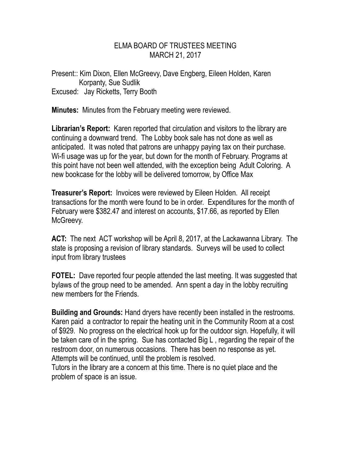## ELMA BOARD OF TRUSTEES MEETING MARCH 21, 2017

Present:: Kim Dixon, Ellen McGreevy, Dave Engberg, Eileen Holden, Karen Korpanty, Sue Sudlik Excused: Jay Ricketts, Terry Booth

**Minutes:** Minutes from the February meeting were reviewed.

**Librarian's Report:** Karen reported that circulation and visitors to the library are continuing a downward trend. The Lobby book sale has not done as well as anticipated. It was noted that patrons are unhappy paying tax on their purchase. Wi-fi usage was up for the year, but down for the month of February. Programs at this point have not been well attended, with the exception being Adult Coloring. A new bookcase for the lobby will be delivered tomorrow, by Office Max

**Treasurer's Report:** Invoices were reviewed by Eileen Holden. All receipt transactions for the month were found to be in order. Expenditures for the month of February were \$382.47 and interest on accounts, \$17.66, as reported by Ellen McGreevy.

**ACT:** The next ACT workshop will be April 8, 2017, at the Lackawanna Library. The state is proposing a revision of library standards. Surveys will be used to collect input from library trustees

**FOTEL:** Dave reported four people attended the last meeting. It was suggested that bylaws of the group need to be amended. Ann spent a day in the lobby recruiting new members for the Friends.

**Building and Grounds:** Hand dryers have recently been installed in the restrooms. Karen paid a contractor to repair the heating unit in the Community Room at a cost of \$929. No progress on the electrical hook up for the outdoor sign. Hopefully, it will be taken care of in the spring. Sue has contacted Big L , regarding the repair of the restroom door, on numerous occasions. There has been no response as yet. Attempts will be continued, until the problem is resolved.

Tutors in the library are a concern at this time. There is no quiet place and the problem of space is an issue.